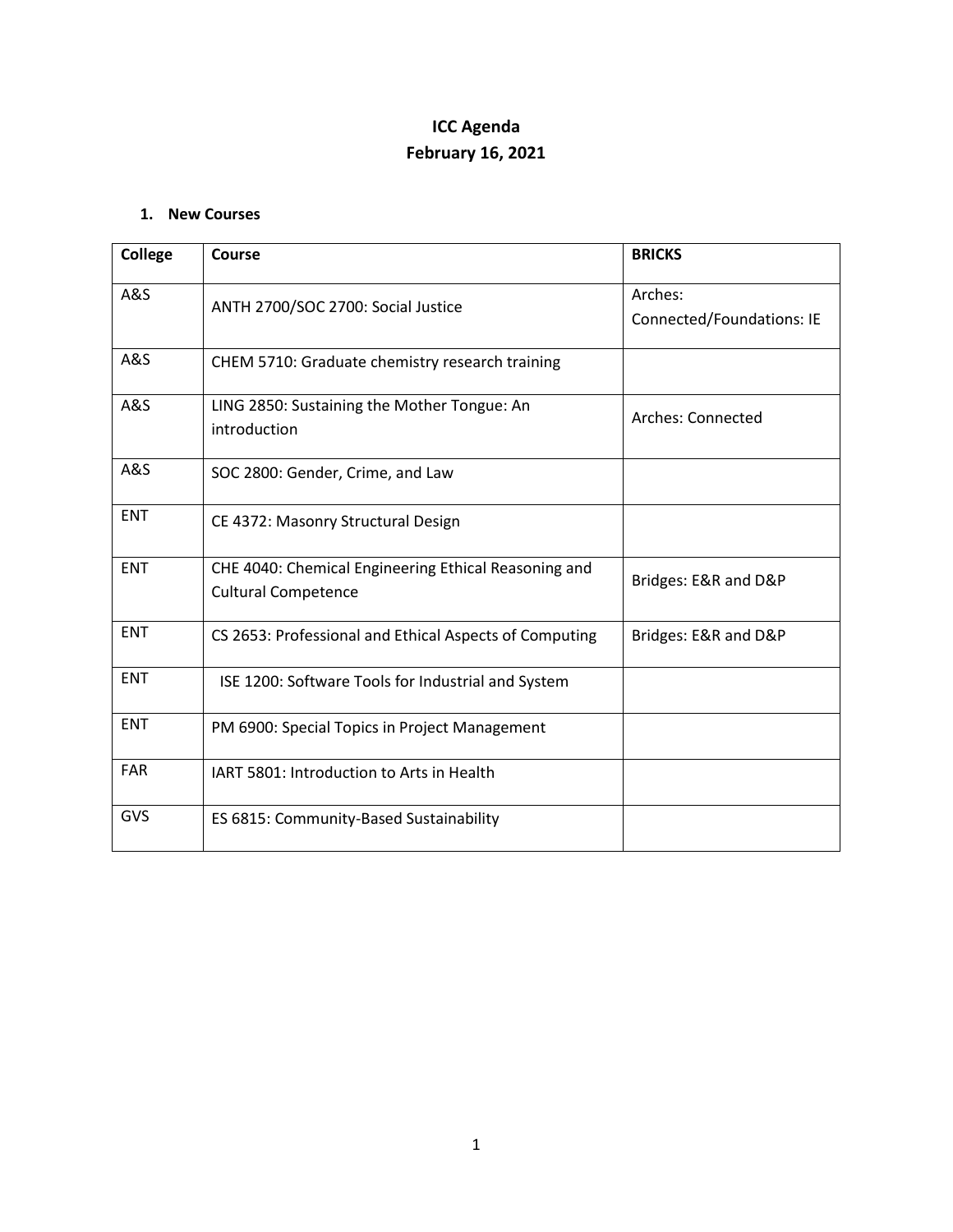## **ICC Agenda February 16, 2021**

## **1. New Courses**

| <b>College</b> | Course                                                                             | <b>BRICKS</b>                        |
|----------------|------------------------------------------------------------------------------------|--------------------------------------|
| <b>A&amp;S</b> | ANTH 2700/SOC 2700: Social Justice                                                 | Arches:<br>Connected/Foundations: IE |
| <b>A&amp;S</b> | CHEM 5710: Graduate chemistry research training                                    |                                      |
| <b>A&amp;S</b> | LING 2850: Sustaining the Mother Tongue: An<br>introduction                        | Arches: Connected                    |
| A&S            | SOC 2800: Gender, Crime, and Law                                                   |                                      |
| <b>ENT</b>     | CE 4372: Masonry Structural Design                                                 |                                      |
| <b>ENT</b>     | CHE 4040: Chemical Engineering Ethical Reasoning and<br><b>Cultural Competence</b> | Bridges: E&R and D&P                 |
| <b>ENT</b>     | CS 2653: Professional and Ethical Aspects of Computing                             | Bridges: E&R and D&P                 |
| <b>ENT</b>     | ISE 1200: Software Tools for Industrial and System                                 |                                      |
| <b>ENT</b>     | PM 6900: Special Topics in Project Management                                      |                                      |
| <b>FAR</b>     | IART 5801: Introduction to Arts in Health                                          |                                      |
| GVS            | ES 6815: Community-Based Sustainability                                            |                                      |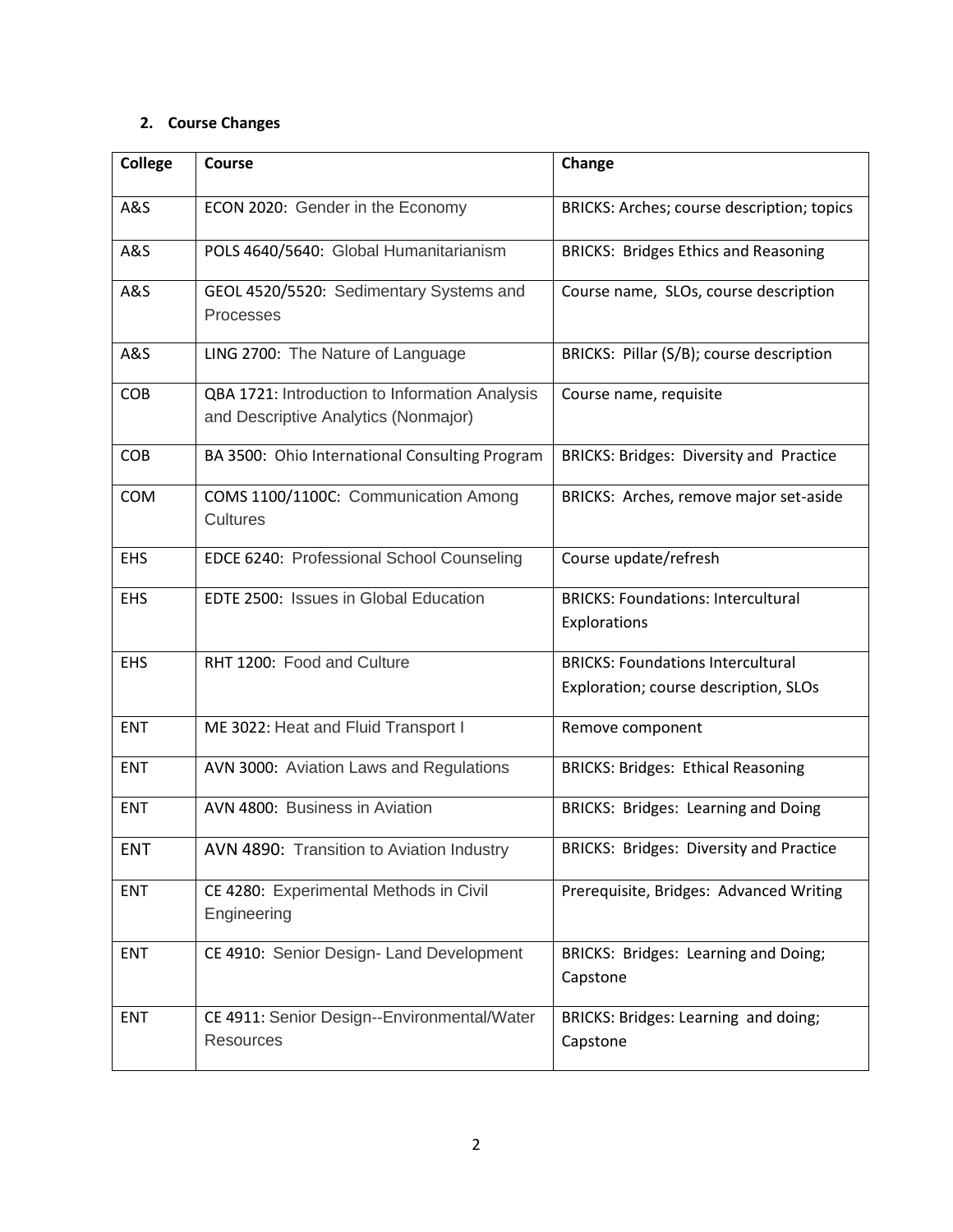## **2. Course Changes**

| College    | Course                                                                                 | Change                                                                            |
|------------|----------------------------------------------------------------------------------------|-----------------------------------------------------------------------------------|
| A&S        | ECON 2020: Gender in the Economy                                                       | BRICKS: Arches; course description; topics                                        |
| A&S        | POLS 4640/5640: Global Humanitarianism                                                 | <b>BRICKS: Bridges Ethics and Reasoning</b>                                       |
| A&S        | GEOL 4520/5520: Sedimentary Systems and<br>Processes                                   | Course name, SLOs, course description                                             |
| A&S        | LING 2700: The Nature of Language                                                      | BRICKS: Pillar (S/B); course description                                          |
| <b>COB</b> | QBA 1721: Introduction to Information Analysis<br>and Descriptive Analytics (Nonmajor) | Course name, requisite                                                            |
| COB        | BA 3500: Ohio International Consulting Program                                         | BRICKS: Bridges: Diversity and Practice                                           |
| COM        | COMS 1100/1100C: Communication Among<br><b>Cultures</b>                                | BRICKS: Arches, remove major set-aside                                            |
| EHS        | EDCE 6240: Professional School Counseling                                              | Course update/refresh                                                             |
| <b>EHS</b> | EDTE 2500: Issues in Global Education                                                  | <b>BRICKS: Foundations: Intercultural</b><br>Explorations                         |
| <b>EHS</b> | RHT 1200: Food and Culture                                                             | <b>BRICKS: Foundations Intercultural</b><br>Exploration; course description, SLOs |
| <b>ENT</b> | ME 3022: Heat and Fluid Transport I                                                    | Remove component                                                                  |
| <b>ENT</b> | AVN 3000: Aviation Laws and Regulations                                                | <b>BRICKS: Bridges: Ethical Reasoning</b>                                         |
| <b>ENT</b> | AVN 4800: Business in Aviation                                                         | BRICKS: Bridges: Learning and Doing                                               |
| <b>ENT</b> | AVN 4890: Transition to Aviation Industry                                              | <b>BRICKS: Bridges: Diversity and Practice</b>                                    |
| <b>ENT</b> | CE 4280: Experimental Methods in Civil<br>Engineering                                  | Prerequisite, Bridges: Advanced Writing                                           |
| <b>ENT</b> | CE 4910: Senior Design- Land Development                                               | BRICKS: Bridges: Learning and Doing;<br>Capstone                                  |
| <b>ENT</b> | CE 4911: Senior Design--Environmental/Water<br><b>Resources</b>                        | BRICKS: Bridges: Learning and doing;<br>Capstone                                  |